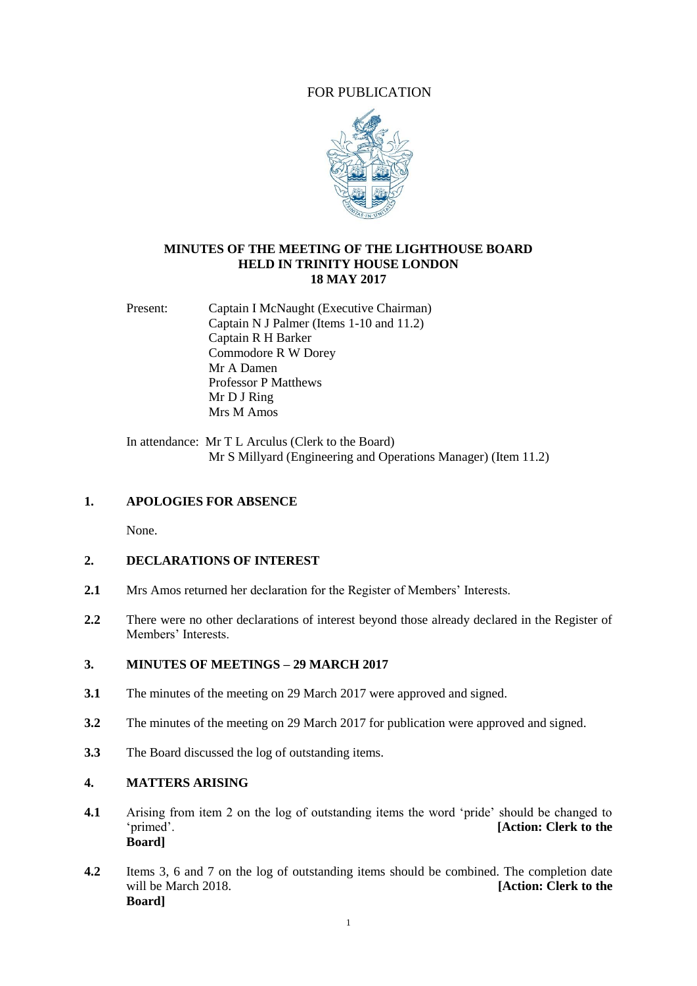## FOR PUBLICATION



### **MINUTES OF THE MEETING OF THE LIGHTHOUSE BOARD HELD IN TRINITY HOUSE LONDON 18 MAY 2017**

Present: Captain I McNaught (Executive Chairman) Captain N J Palmer (Items 1-10 and 11.2) Captain R H Barker Commodore R W Dorey Mr A Damen Professor P Matthews Mr D J Ring Mrs M Amos

In attendance: Mr T L Arculus (Clerk to the Board) Mr S Millyard (Engineering and Operations Manager) (Item 11.2)

### **1. APOLOGIES FOR ABSENCE**

None.

## **2. DECLARATIONS OF INTEREST**

- **2.1** Mrs Amos returned her declaration for the Register of Members' Interests.
- **2.2** There were no other declarations of interest beyond those already declared in the Register of Members' Interests.

#### **3. MINUTES OF MEETINGS – 29 MARCH 2017**

- **3.1** The minutes of the meeting on 29 March 2017 were approved and signed.
- **3.2** The minutes of the meeting on 29 March 2017 for publication were approved and signed.
- **3.3** The Board discussed the log of outstanding items.

### **4. MATTERS ARISING**

- **4.1** Arising from item 2 on the log of outstanding items the word 'pride' should be changed to 'primed'. **[Action: Clerk to the Board]**
- **4.2** Items 3, 6 and 7 on the log of outstanding items should be combined. The completion date will be March 2018. *Clerk to the March 2018* **Board]**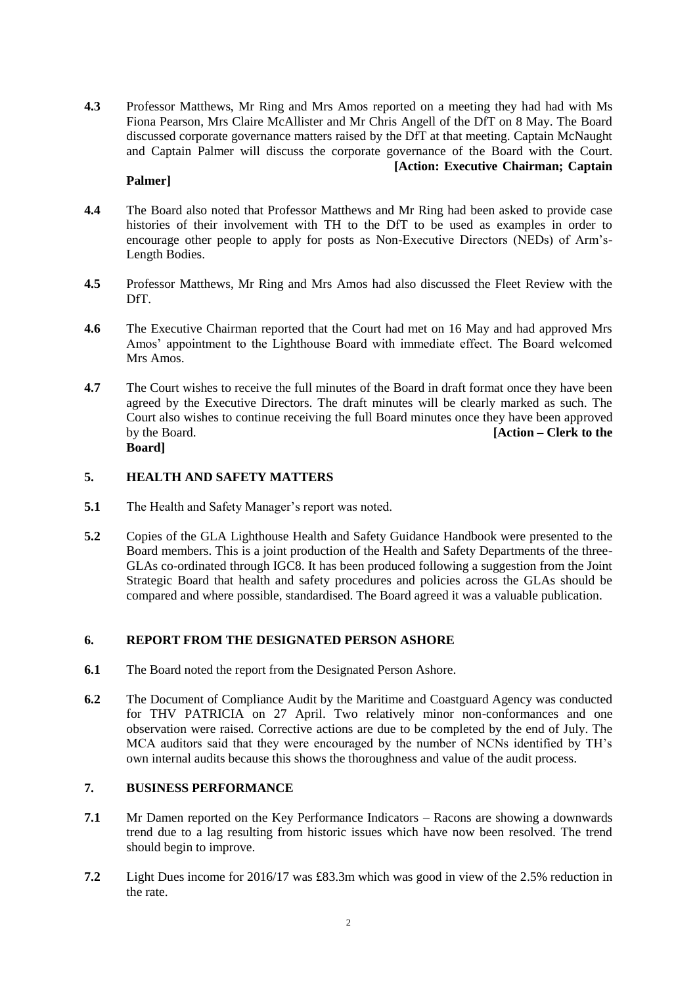**4.3** Professor Matthews, Mr Ring and Mrs Amos reported on a meeting they had had with Ms Fiona Pearson, Mrs Claire McAllister and Mr Chris Angell of the DfT on 8 May. The Board discussed corporate governance matters raised by the DfT at that meeting. Captain McNaught and Captain Palmer will discuss the corporate governance of the Board with the Court. **[Action: Executive Chairman; Captain** 

### **Palmer]**

- **4.4** The Board also noted that Professor Matthews and Mr Ring had been asked to provide case histories of their involvement with TH to the DfT to be used as examples in order to encourage other people to apply for posts as Non-Executive Directors (NEDs) of Arm's-Length Bodies.
- **4.5** Professor Matthews, Mr Ring and Mrs Amos had also discussed the Fleet Review with the DfT.
- **4.6** The Executive Chairman reported that the Court had met on 16 May and had approved Mrs Amos' appointment to the Lighthouse Board with immediate effect. The Board welcomed Mrs Amos.
- **4.7** The Court wishes to receive the full minutes of the Board in draft format once they have been agreed by the Executive Directors. The draft minutes will be clearly marked as such. The Court also wishes to continue receiving the full Board minutes once they have been approved by the Board. **[Action – Clerk to the Board]**

## **5. HEALTH AND SAFETY MATTERS**

- **5.1** The Health and Safety Manager's report was noted.
- **5.2** Copies of the GLA Lighthouse Health and Safety Guidance Handbook were presented to the Board members. This is a joint production of the Health and Safety Departments of the three-GLAs co-ordinated through IGC8. It has been produced following a suggestion from the Joint Strategic Board that health and safety procedures and policies across the GLAs should be compared and where possible, standardised. The Board agreed it was a valuable publication.

## **6. REPORT FROM THE DESIGNATED PERSON ASHORE**

- **6.1** The Board noted the report from the Designated Person Ashore.
- **6.2** The Document of Compliance Audit by the Maritime and Coastguard Agency was conducted for THV PATRICIA on 27 April. Two relatively minor non-conformances and one observation were raised. Corrective actions are due to be completed by the end of July. The MCA auditors said that they were encouraged by the number of NCNs identified by TH's own internal audits because this shows the thoroughness and value of the audit process.

# **7. BUSINESS PERFORMANCE**

- **7.1** Mr Damen reported on the Key Performance Indicators Racons are showing a downwards trend due to a lag resulting from historic issues which have now been resolved. The trend should begin to improve.
- **7.2** Light Dues income for 2016/17 was £83.3m which was good in view of the 2.5% reduction in the rate.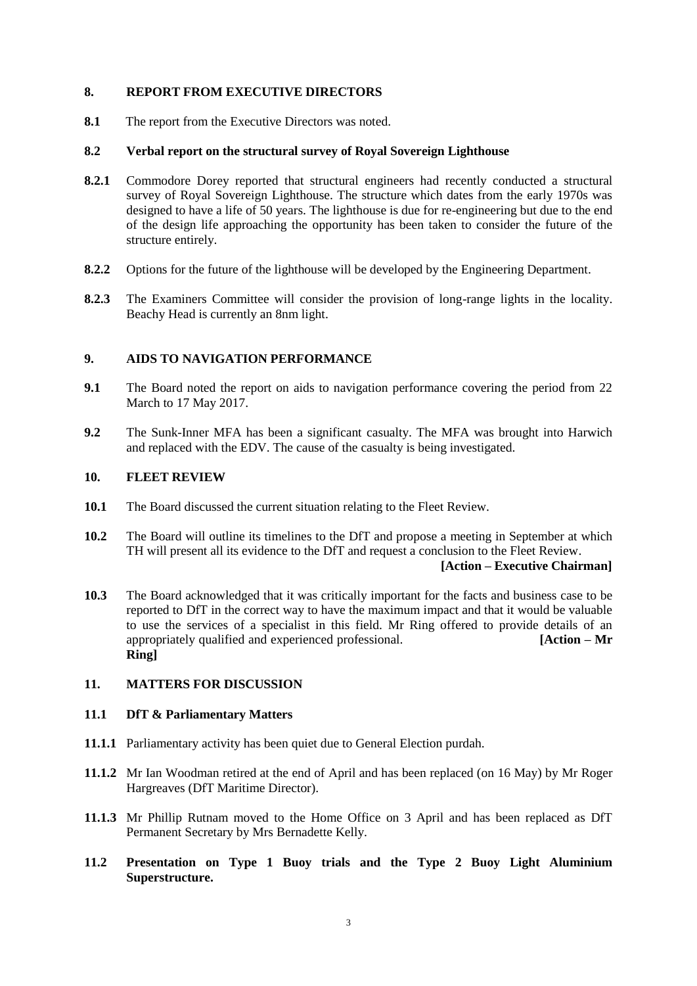#### **8. REPORT FROM EXECUTIVE DIRECTORS**

**8.1** The report from the Executive Directors was noted.

## **8.2 Verbal report on the structural survey of Royal Sovereign Lighthouse**

- **8.2.1** Commodore Dorey reported that structural engineers had recently conducted a structural survey of Royal Sovereign Lighthouse. The structure which dates from the early 1970s was designed to have a life of 50 years. The lighthouse is due for re-engineering but due to the end of the design life approaching the opportunity has been taken to consider the future of the structure entirely.
- **8.2.2** Options for the future of the lighthouse will be developed by the Engineering Department.
- **8.2.3** The Examiners Committee will consider the provision of long-range lights in the locality. Beachy Head is currently an 8nm light.

#### **9. AIDS TO NAVIGATION PERFORMANCE**

- **9.1** The Board noted the report on aids to navigation performance covering the period from 22 March to 17 May 2017.
- **9.2** The Sunk-Inner MFA has been a significant casualty. The MFA was brought into Harwich and replaced with the EDV. The cause of the casualty is being investigated.

#### **10. FLEET REVIEW**

- **10.1** The Board discussed the current situation relating to the Fleet Review.
- **10.2** The Board will outline its timelines to the DfT and propose a meeting in September at which TH will present all its evidence to the DfT and request a conclusion to the Fleet Review.

## **[Action – Executive Chairman]**

**10.3** The Board acknowledged that it was critically important for the facts and business case to be reported to DfT in the correct way to have the maximum impact and that it would be valuable to use the services of a specialist in this field. Mr Ring offered to provide details of an appropriately qualified and experienced professional. **[Action – Mr Ring]**

## **11. MATTERS FOR DISCUSSION**

#### **11.1 DfT & Parliamentary Matters**

- **11.1.1** Parliamentary activity has been quiet due to General Election purdah.
- **11.1.2** Mr Ian Woodman retired at the end of April and has been replaced (on 16 May) by Mr Roger Hargreaves (DfT Maritime Director).
- **11.1.3** Mr Phillip Rutnam moved to the Home Office on 3 April and has been replaced as DfT Permanent Secretary by Mrs Bernadette Kelly.
- **11.2 Presentation on Type 1 Buoy trials and the Type 2 Buoy Light Aluminium Superstructure.**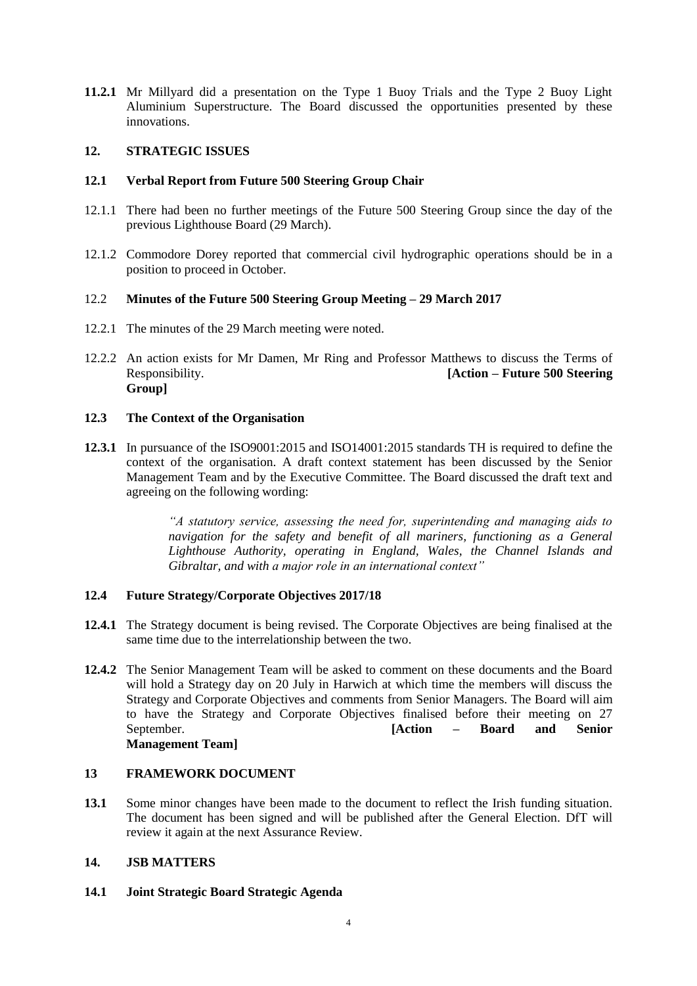**11.2.1** Mr Millyard did a presentation on the Type 1 Buoy Trials and the Type 2 Buoy Light Aluminium Superstructure. The Board discussed the opportunities presented by these innovations.

## **12. STRATEGIC ISSUES**

## **12.1 Verbal Report from Future 500 Steering Group Chair**

- 12.1.1 There had been no further meetings of the Future 500 Steering Group since the day of the previous Lighthouse Board (29 March).
- 12.1.2 Commodore Dorey reported that commercial civil hydrographic operations should be in a position to proceed in October.

## 12.2 **Minutes of the Future 500 Steering Group Meeting – 29 March 2017**

- 12.2.1 The minutes of the 29 March meeting were noted.
- 12.2.2 An action exists for Mr Damen, Mr Ring and Professor Matthews to discuss the Terms of Responsibility. **[Action – Future 500 Steering Group]**

## **12.3 The Context of the Organisation**

**12.3.1** In pursuance of the ISO9001:2015 and ISO14001:2015 standards TH is required to define the context of the organisation. A draft context statement has been discussed by the Senior Management Team and by the Executive Committee. The Board discussed the draft text and agreeing on the following wording:

> *"A statutory service, assessing the need for, superintending and managing aids to navigation for the safety and benefit of all mariners, functioning as a General Lighthouse Authority, operating in England, Wales, the Channel Islands and Gibraltar, and with a major role in an international context"*

#### **12.4 Future Strategy/Corporate Objectives 2017/18**

- **12.4.1** The Strategy document is being revised. The Corporate Objectives are being finalised at the same time due to the interrelationship between the two.
- **12.4.2** The Senior Management Team will be asked to comment on these documents and the Board will hold a Strategy day on 20 July in Harwich at which time the members will discuss the Strategy and Corporate Objectives and comments from Senior Managers. The Board will aim to have the Strategy and Corporate Objectives finalised before their meeting on 27 September. **[Action – Board and Senior Management Team]**

#### **13 FRAMEWORK DOCUMENT**

**13.1** Some minor changes have been made to the document to reflect the Irish funding situation. The document has been signed and will be published after the General Election. DfT will review it again at the next Assurance Review.

#### **14. JSB MATTERS**

**14.1 Joint Strategic Board Strategic Agenda**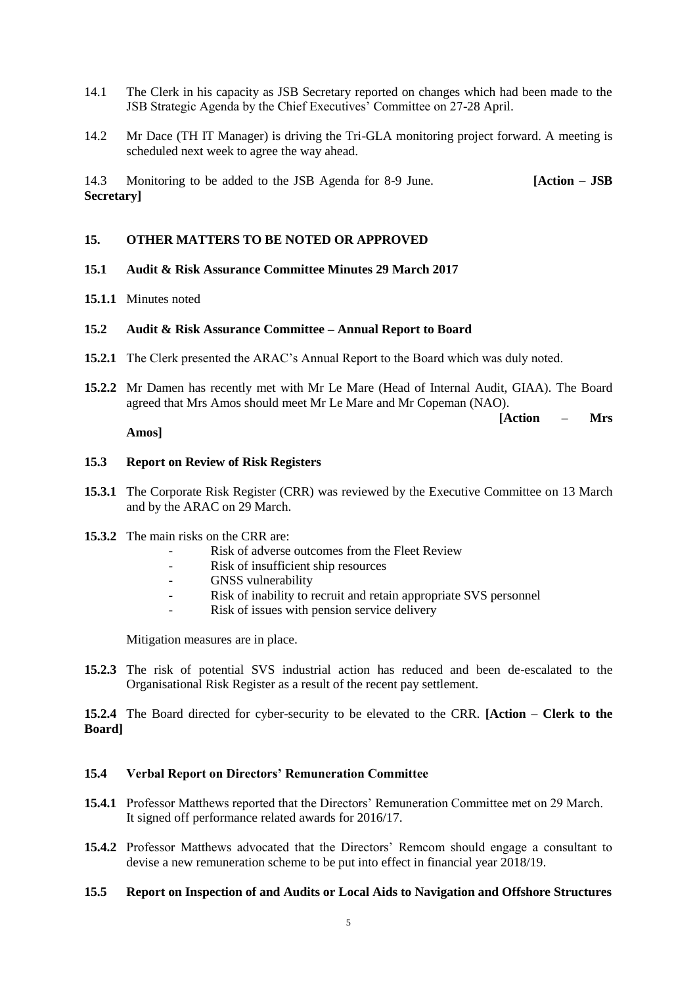- 14.1 The Clerk in his capacity as JSB Secretary reported on changes which had been made to the JSB Strategic Agenda by the Chief Executives' Committee on 27-28 April.
- 14.2 Mr Dace (TH IT Manager) is driving the Tri-GLA monitoring project forward. A meeting is scheduled next week to agree the way ahead.

14.3 Monitoring to be added to the JSB Agenda for 8-9 June. **[Action – JSB Secretary]**

#### **15. OTHER MATTERS TO BE NOTED OR APPROVED**

- **15.1 Audit & Risk Assurance Committee Minutes 29 March 2017**
- **15.1.1** Minutes noted

### **15.2 Audit & Risk Assurance Committee – Annual Report to Board**

- **15.2.1** The Clerk presented the ARAC's Annual Report to the Board which was duly noted.
- **15.2.2** Mr Damen has recently met with Mr Le Mare (Head of Internal Audit, GIAA). The Board agreed that Mrs Amos should meet Mr Le Mare and Mr Copeman (NAO).

 **[Action – Mrs** 

**Amos]**

#### **15.3 Report on Review of Risk Registers**

- **15.3.1** The Corporate Risk Register (CRR) was reviewed by the Executive Committee on 13 March and by the ARAC on 29 March.
- **15.3.2** The main risks on the CRR are:
	- Risk of adverse outcomes from the Fleet Review
	- Risk of insufficient ship resources
	- GNSS vulnerability
	- Risk of inability to recruit and retain appropriate SVS personnel
	- Risk of issues with pension service delivery

Mitigation measures are in place.

**15.2.3** The risk of potential SVS industrial action has reduced and been de-escalated to the Organisational Risk Register as a result of the recent pay settlement.

**15.2.4** The Board directed for cyber-security to be elevated to the CRR. **[Action – Clerk to the Board]**

#### **15.4 Verbal Report on Directors' Remuneration Committee**

- **15.4.1** Professor Matthews reported that the Directors' Remuneration Committee met on 29 March. It signed off performance related awards for 2016/17.
- **15.4.2** Professor Matthews advocated that the Directors' Remcom should engage a consultant to devise a new remuneration scheme to be put into effect in financial year 2018/19.

#### **15.5 Report on Inspection of and Audits or Local Aids to Navigation and Offshore Structures**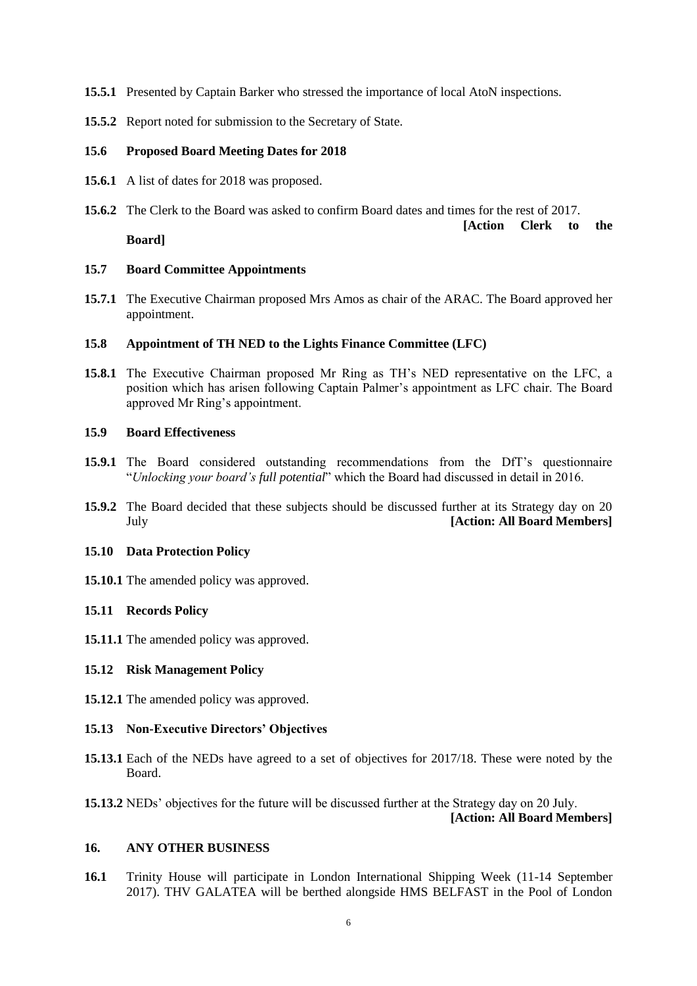- **15.5.1** Presented by Captain Barker who stressed the importance of local AtoN inspections.
- **15.5.2** Report noted for submission to the Secretary of State.

#### **15.6 Proposed Board Meeting Dates for 2018**

- **15.6.1** A list of dates for 2018 was proposed.
- **15.6.2** The Clerk to the Board was asked to confirm Board dates and times for the rest of 2017. **[Action Clerk to the**

**Board]**

#### **15.7 Board Committee Appointments**

**15.7.1** The Executive Chairman proposed Mrs Amos as chair of the ARAC. The Board approved her appointment.

#### **15.8 Appointment of TH NED to the Lights Finance Committee (LFC)**

**15.8.1** The Executive Chairman proposed Mr Ring as TH's NED representative on the LFC, a position which has arisen following Captain Palmer's appointment as LFC chair. The Board approved Mr Ring's appointment.

## **15.9 Board Effectiveness**

- **15.9.1** The Board considered outstanding recommendations from the DfT's questionnaire "*Unlocking your board's full potential*" which the Board had discussed in detail in 2016.
- **15.9.2** The Board decided that these subjects should be discussed further at its Strategy day on 20 July **[Action: All Board Members]**

#### **15.10 Data Protection Policy**

**15.10.1** The amended policy was approved.

#### **15.11 Records Policy**

**15.11.1** The amended policy was approved.

#### **15.12 Risk Management Policy**

**15.12.1** The amended policy was approved.

#### **15.13 Non-Executive Directors' Objectives**

- **15.13.1** Each of the NEDs have agreed to a set of objectives for 2017/18. These were noted by the Board.
- **15.13.2** NEDs' objectives for the future will be discussed further at the Strategy day on 20 July.

#### **[Action: All Board Members]**

### **16. ANY OTHER BUSINESS**

**16.1** Trinity House will participate in London International Shipping Week (11-14 September 2017). THV GALATEA will be berthed alongside HMS BELFAST in the Pool of London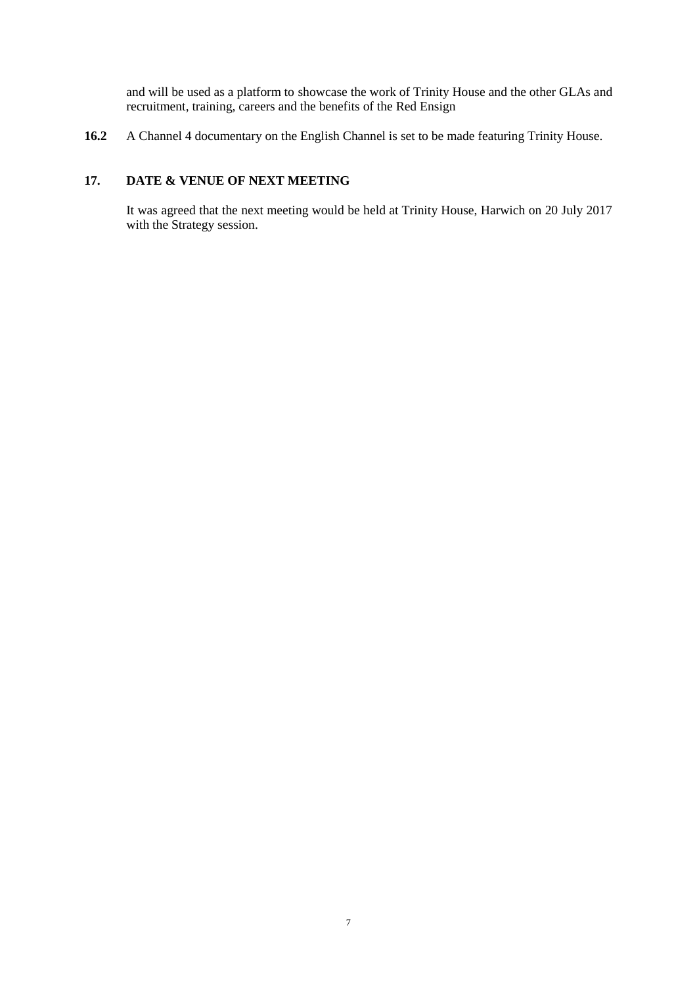and will be used as a platform to showcase the work of Trinity House and the other GLAs and recruitment, training, careers and the benefits of the Red Ensign

**16.2** A Channel 4 documentary on the English Channel is set to be made featuring Trinity House.

# **17. DATE & VENUE OF NEXT MEETING**

It was agreed that the next meeting would be held at Trinity House, Harwich on 20 July 2017 with the Strategy session.